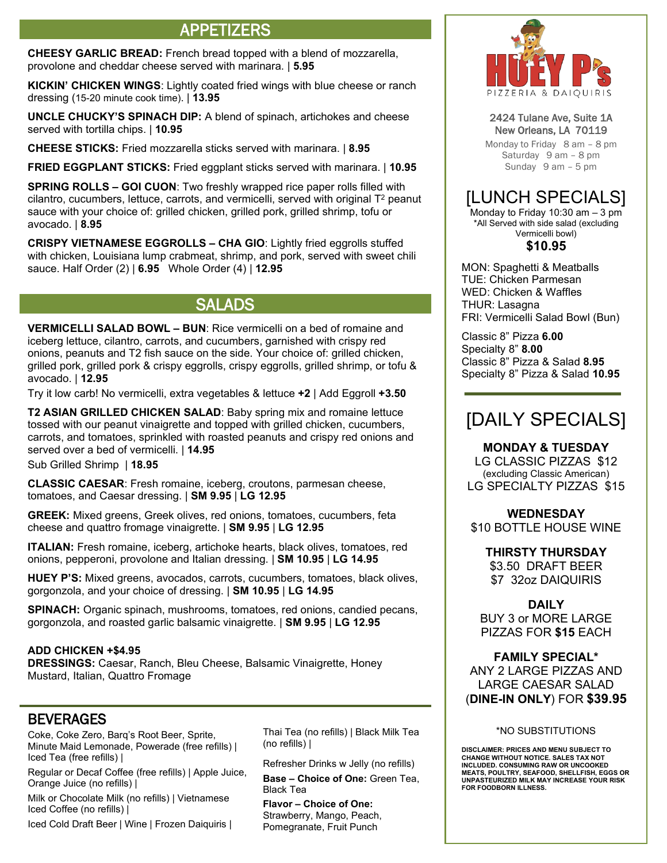# APPETIZERS

**CHEESY GARLIC BREAD:** French bread topped with a blend of mozzarella, provolone and cheddar cheese served with marinara. | **5.95**

**KICKIN' CHICKEN WINGS**: Lightly coated fried wings with blue cheese or ranch dressing (15-20 minute cook time). | **13.95**

**UNCLE CHUCKY'S SPINACH DIP:** A blend of spinach, artichokes and cheese served with tortilla chips. | **10.95**

**CHEESE STICKS:** Fried mozzarella sticks served with marinara. | **8.95**

**FRIED EGGPLANT STICKS:** Fried eggplant sticks served with marinara. | **10.95**

**SPRING ROLLS – GOI CUON**: Two freshly wrapped rice paper rolls filled with  $c$ ilantro, cucumbers, lettuce, carrots, and vermicelli, served with original  $T<sup>2</sup>$  peanut sauce with your choice of: grilled chicken, grilled pork, grilled shrimp, tofu or avocado. | **8.95**

**CRISPY VIETNAMESE EGGROLLS – CHA GIO**: Lightly fried eggrolls stuffed with chicken, Louisiana lump crabmeat, shrimp, and pork, served with sweet chili sauce. Half Order (2) | **6.95** Whole Order (4) | **12.95**

## SALADS

**VERMICELLI SALAD BOWL – BUN**: Rice vermicelli on a bed of romaine and iceberg lettuce, cilantro, carrots, and cucumbers, garnished with crispy red onions, peanuts and T2 fish sauce on the side. Your choice of: grilled chicken, grilled pork, grilled pork & crispy eggrolls, crispy eggrolls, grilled shrimp, or tofu & avocado. | **12.95**

Try it low carb! No vermicelli, extra vegetables & lettuce **+2** | Add Eggroll **+3.50**

**T2 ASIAN GRILLED CHICKEN SALAD**: Baby spring mix and romaine lettuce tossed with our peanut vinaigrette and topped with grilled chicken, cucumbers, carrots, and tomatoes, sprinkled with roasted peanuts and crispy red onions and served over a bed of vermicelli. | **14.95**

Sub Grilled Shrimp | **18.95**

**CLASSIC CAESAR**: Fresh romaine, iceberg, croutons, parmesan cheese, tomatoes, and Caesar dressing. | **SM 9.95** | **LG 12.95** 

**GREEK:** Mixed greens, Greek olives, red onions, tomatoes, cucumbers, feta cheese and quattro fromage vinaigrette. | **SM 9.95** | **LG 12.95** 

**ITALIAN:** Fresh romaine, iceberg, artichoke hearts, black olives, tomatoes, red onions, pepperoni, provolone and Italian dressing. | **SM 10.95** | **LG 14.95** 

**HUEY P'S:** Mixed greens, avocados, carrots, cucumbers, tomatoes, black olives, gorgonzola, and your choice of dressing. | **SM 10.95** | **LG 14.95** 

**SPINACH:** Organic spinach, mushrooms, tomatoes, red onions, candied pecans, gorgonzola, and roasted garlic balsamic vinaigrette. | **SM 9.95** | **LG 12.95** 

#### **ADD CHICKEN +\$4.95**

**DRESSINGS:** Caesar, Ranch, Bleu Cheese, Balsamic Vinaigrette, Honey Mustard, Italian, Quattro Fromage

### BEVERAGES

Coke, Coke Zero, Barq's Root Beer, Sprite, Minute Maid Lemonade, Powerade (free refills) | Iced Tea (free refills) |

Regular or Decaf Coffee (free refills) | Apple Juice, Orange Juice (no refills) |

Milk or Chocolate Milk (no refills) | Vietnamese Iced Coffee (no refills) |

Iced Cold Draft Beer | Wine | Frozen Daiquiris |

Thai Tea (no refills) | Black Milk Tea (no refills) |

Refresher Drinks w Jelly (no refills) **Base – Choice of One:** Green Tea, Black Tea

**Flavor – Choice of One:**  Strawberry, Mango, Peach, Pomegranate, Fruit Punch



#### 2424 Tulane Ave, Suite 1A New Orleans, LA 70119

Monday to Friday 8 am – 8 pm Saturday 9 am – 8 pm Sunday 9 am – 5 pm

# [LUNCH SPECIALS]

Monday to Friday 10:30 am  $-$  3 pm \*All Served with side salad (excluding Vermicelli bowl)

#### **\$10.95**

MON: Spaghetti & Meatballs TUE: Chicken Parmesan WED: Chicken & Waffles THUR: Lasagna FRI: Vermicelli Salad Bowl (Bun)

Classic 8" Pizza **6.00** Specialty 8" **8.00** Classic 8" Pizza & Salad **8.95** Specialty 8" Pizza & Salad **10.95**

# [DAILY SPECIALS]

**MONDAY & TUESDAY** 

LG CLASSIC PIZZAS \$12 (excluding Classic American) LG SPECIALTY PIZZAS \$15

### **WEDNESDAY**

\$10 BOTTLE HOUSE WINE

**THIRSTY THURSDAY**

\$3.50 DRAFT BEER \$7 32oz DAIQUIRIS

#### **DAILY**

BUY 3 or MORE LARGE PIZZAS FOR **\$15** EACH

**FAMILY SPECIAL\*** ANY 2 LARGE PIZZAS AND LARGE CAESAR SALAD (**DINE-IN ONLY**) FOR **\$39.95**

#### \*NO SUBSTITUTIONS

**DISCLAIMER: PRICES AND MENU SUBJECT TO CHANGE WITHOUT NOTICE. SALES TAX NOT INCLUDED. CONSUMING RAW OR UNCOOKED MEATS, POULTRY, SEAFOOD, SHELLFISH, EGGS OR UNPASTEURIZED MILK MAY INCREASE YOUR RISK FOR FOODBORN ILLNESS.**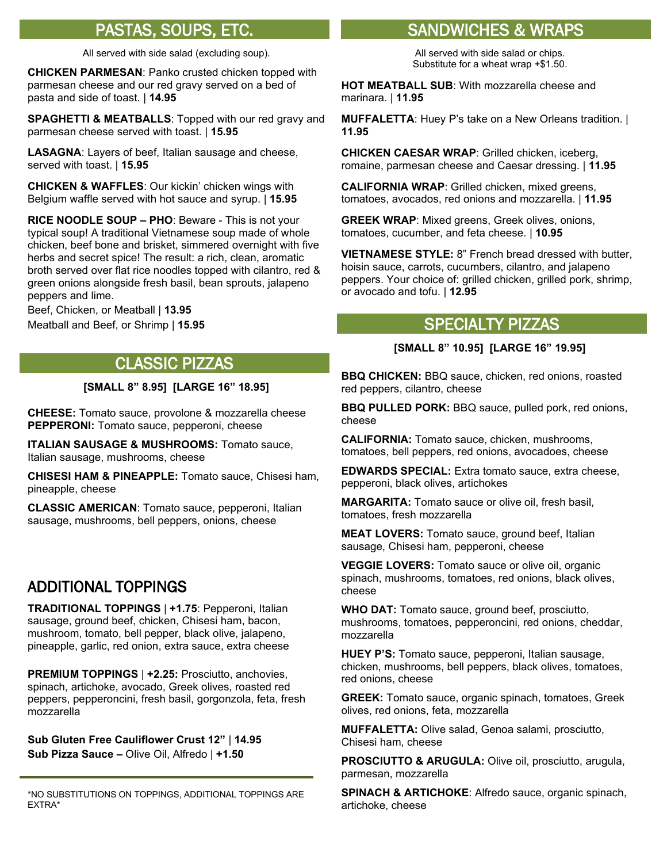All served with side salad (excluding soup).

**CHICKEN PARMESAN**: Panko crusted chicken topped with parmesan cheese and our red gravy served on a bed of pasta and side of toast. | **14.95** 

**SPAGHETTI & MEATBALLS**: Topped with our red gravy and parmesan cheese served with toast. | **15.95** 

**LASAGNA**: Layers of beef, Italian sausage and cheese, served with toast. | **15.95** 

**CHICKEN & WAFFLES**: Our kickin' chicken wings with Belgium waffle served with hot sauce and syrup. | **15.95** 

**RICE NOODLE SOUP – PHO**: Beware - This is not your typical soup! A traditional Vietnamese soup made of whole chicken, beef bone and brisket, simmered overnight with five herbs and secret spice! The result: a rich, clean, aromatic broth served over flat rice noodles topped with cilantro, red & green onions alongside fresh basil, bean sprouts, jalapeno peppers and lime.

Beef, Chicken, or Meatball | **13.95** Meatball and Beef, or Shrimp | **15.95** 

# CLASSIC PIZZAS

**[SMALL 8" 8.95] [LARGE 16" 18.95]**

**CHEESE:** Tomato sauce, provolone & mozzarella cheese **PEPPERONI:** Tomato sauce, pepperoni, cheese

**ITALIAN SAUSAGE & MUSHROOMS:** Tomato sauce, Italian sausage, mushrooms, cheese

**CHISESI HAM & PINEAPPLE:** Tomato sauce, Chisesi ham, pineapple, cheese

**CLASSIC AMERICAN**: Tomato sauce, pepperoni, Italian sausage, mushrooms, bell peppers, onions, cheese

### ADDITIONAL TOPPINGS

**TRADITIONAL TOPPINGS** | **+1.75**: Pepperoni, Italian sausage, ground beef, chicken, Chisesi ham, bacon, mushroom, tomato, bell pepper, black olive, jalapeno, pineapple, garlic, red onion, extra sauce, extra cheese

**PREMIUM TOPPINGS** | **+2.25:** Prosciutto, anchovies, spinach, artichoke, avocado, Greek olives, roasted red peppers, pepperoncini, fresh basil, gorgonzola, feta, fresh mozzarella

**Sub Gluten Free Cauliflower Crust 12"** | **14.95 Sub Pizza Sauce –** Olive Oil, Alfredo | **+1.50** 

\*NO SUBSTITUTIONS ON TOPPINGS, ADDITIONAL TOPPINGS ARE EXTRA\*

## PASTAS, SOUPS, ETC. SANDWICHES & WRAPS

All served with side salad or chips. Substitute for a wheat wrap +\$1.50.

**HOT MEATBALL SUB**: With mozzarella cheese and marinara. | **11.95**

**MUFFALETTA**: Huey P's take on a New Orleans tradition. | **11.95**

**CHICKEN CAESAR WRAP**: Grilled chicken, iceberg, romaine, parmesan cheese and Caesar dressing. | **11.95**

**CALIFORNIA WRAP**: Grilled chicken, mixed greens, tomatoes, avocados, red onions and mozzarella. | **11.95**

**GREEK WRAP**: Mixed greens, Greek olives, onions, tomatoes, cucumber, and feta cheese. | **10.95** 

**VIETNAMESE STYLE:** 8" French bread dressed with butter, hoisin sauce, carrots, cucumbers, cilantro, and jalapeno peppers. Your choice of: grilled chicken, grilled pork, shrimp, or avocado and tofu. | **12.95**

## SPECIALTY PIZZAS

#### **[SMALL 8" 10.95] [LARGE 16" 19.95]**

**BBQ CHICKEN:** BBQ sauce, chicken, red onions, roasted red peppers, cilantro, cheese

**BBQ PULLED PORK:** BBQ sauce, pulled pork, red onions, cheese

**CALIFORNIA:** Tomato sauce, chicken, mushrooms, tomatoes, bell peppers, red onions, avocadoes, cheese

**EDWARDS SPECIAL:** Extra tomato sauce, extra cheese, pepperoni, black olives, artichokes

**MARGARITA:** Tomato sauce or olive oil, fresh basil, tomatoes, fresh mozzarella

**MEAT LOVERS:** Tomato sauce, ground beef, Italian sausage, Chisesi ham, pepperoni, cheese

**VEGGIE LOVERS:** Tomato sauce or olive oil, organic spinach, mushrooms, tomatoes, red onions, black olives, cheese

**WHO DAT:** Tomato sauce, ground beef, prosciutto, mushrooms, tomatoes, pepperoncini, red onions, cheddar, mozzarella

**HUEY P'S:** Tomato sauce, pepperoni, Italian sausage, chicken, mushrooms, bell peppers, black olives, tomatoes, red onions, cheese

**GREEK:** Tomato sauce, organic spinach, tomatoes, Greek olives, red onions, feta, mozzarella

**MUFFALETTA:** Olive salad, Genoa salami, prosciutto, Chisesi ham, cheese

**PROSCIUTTO & ARUGULA:** Olive oil, prosciutto, arugula, parmesan, mozzarella

**SPINACH & ARTICHOKE**: Alfredo sauce, organic spinach, artichoke, cheese